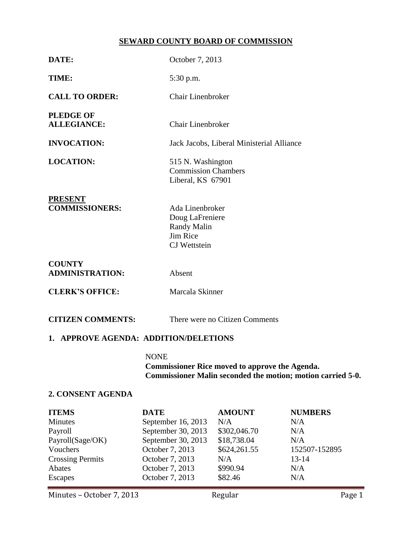# **SEWARD COUNTY BOARD OF COMMISSION**

| DATE:                                   | October 7, 2013                                                                                                                     |  |  |  |
|-----------------------------------------|-------------------------------------------------------------------------------------------------------------------------------------|--|--|--|
| TIME:                                   | 5:30 p.m.                                                                                                                           |  |  |  |
| <b>CALL TO ORDER:</b>                   | <b>Chair Linenbroker</b>                                                                                                            |  |  |  |
| <b>PLEDGE OF</b><br><b>ALLEGIANCE:</b>  | <b>Chair Linenbroker</b>                                                                                                            |  |  |  |
| <b>INVOCATION:</b>                      | Jack Jacobs, Liberal Ministerial Alliance                                                                                           |  |  |  |
| <b>LOCATION:</b>                        | 515 N. Washington<br><b>Commission Chambers</b><br>Liberal, KS 67901                                                                |  |  |  |
| <b>PRESENT</b><br><b>COMMISSIONERS:</b> | Ada Linenbroker<br>Doug LaFreniere<br><b>Randy Malin</b><br>Jim Rice<br><b>CJ</b> Wettstein                                         |  |  |  |
| <b>COUNTY</b><br><b>ADMINISTRATION:</b> | Absent                                                                                                                              |  |  |  |
| <b>CLERK'S OFFICE:</b>                  | Marcala Skinner                                                                                                                     |  |  |  |
| <b>CITIZEN COMMENTS:</b>                | There were no Citizen Comments                                                                                                      |  |  |  |
| 1. APPROVE AGENDA: ADDITION/DELETIONS   |                                                                                                                                     |  |  |  |
|                                         | <b>NONE</b><br><b>Commissioner Rice moved to approve the Agenda.</b><br>Commissioner Malin seconded the motion; motion carried 5-0. |  |  |  |
| 2. CONSENT AGENDA                       |                                                                                                                                     |  |  |  |
| <b>ITEMS</b>                            | <b>DATE</b><br><b>AMOUNT</b><br><b>NUMBERS</b>                                                                                      |  |  |  |

| <b>ITEMS</b>            | <b>DATE</b>        | <b>AMOUNT</b> | <b>NUMBERS</b> |  |
|-------------------------|--------------------|---------------|----------------|--|
| Minutes                 | September 16, 2013 | N/A           | N/A            |  |
| Payroll                 | September 30, 2013 | \$302,046.70  | N/A            |  |
| Payroll(Sage/OK)        | September 30, 2013 | \$18,738.04   | N/A            |  |
| Vouchers                | October 7, 2013    | \$624,261.55  | 152507-152895  |  |
| <b>Crossing Permits</b> | October 7, 2013    | N/A           | $13 - 14$      |  |
| Abates                  | October 7, 2013    | \$990.94      | N/A            |  |
| Escapes                 | October 7, 2013    | \$82.46       | N/A            |  |
|                         |                    |               |                |  |

Minutes – October 7, 2013 Regular Regular Page 1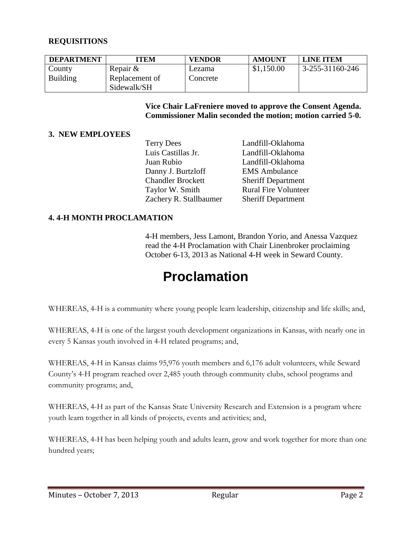## **REQUISITIONS**

| <b>DEPARTMENT</b> | TEM            | <b>VENDOR</b> | <b>AMOUNT</b> | LINE ITEM       |
|-------------------|----------------|---------------|---------------|-----------------|
| County            | Repair &       | Lezama        | \$1,150.00    | 3-255-31160-246 |
| Building          | Replacement of | Concrete      |               |                 |
|                   | Sidewalk/SH    |               |               |                 |

**Vice Chair LaFreniere moved to approve the Consent Agenda. Commissioner Malin seconded the motion; motion carried 5-0.**

#### **3. NEW EMPLOYEES**

| <b>Terry Dees</b>        | Landfill-Oklahoma           |
|--------------------------|-----------------------------|
| Luis Castillas Jr.       | Landfill-Oklahoma           |
| Juan Rubio               | Landfill-Oklahoma           |
| Danny J. Burtzloff       | <b>EMS</b> Ambulance        |
| <b>Chandler Brockett</b> | <b>Sheriff Department</b>   |
| Taylor W. Smith          | <b>Rural Fire Volunteer</b> |
| Zachery R. Stallbaumer   | <b>Sheriff Department</b>   |
|                          |                             |

#### **4. 4-H MONTH PROCLAMATION**

4-H members, Jess Lamont, Brandon Yorio, and Anessa Vazquez read the 4-H Proclamation with Chair Linenbroker proclaiming October 6-13, 2013 as National 4-H week in Seward County.

# **Proclamation**

WHEREAS, 4-H is a community where young people learn leadership, citizenship and life skills; and,

WHEREAS, 4-H is one of the largest youth development organizations in Kansas, with nearly one in every 5 Kansas youth involved in 4-H related programs; and,

WHEREAS, 4-H in Kansas claims 95,976 youth members and 6,176 adult volunteers, while Seward County's 4-H program reached over 2,485 youth through community clubs, school programs and community programs; and,

WHEREAS, 4-H as part of the Kansas State University Research and Extension is a program where youth learn together in all kinds of projects, events and activities; and,

WHEREAS, 4-H has been helping youth and adults learn, grow and work together for more than one hundred years;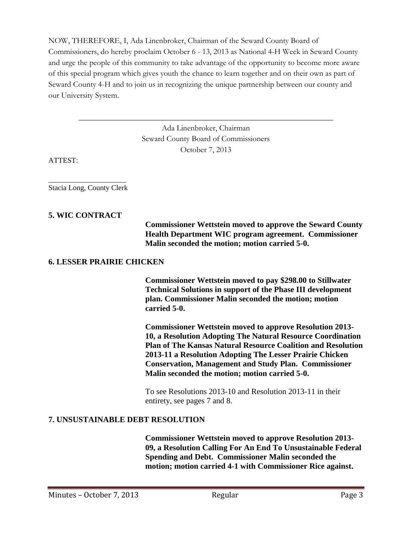NOW, THEREFORE, I, Ada Linenbroker, Chairman of the Seward County Board of Commissioners, do hereby proclaim October 6 - 13, 2013 as National 4-H Week in Seward County and urge the people of this community to take advantage of the opportunity to become more aware of this special program which gives youth the chance to learn together and on their own as part of Seward County 4-H and to join us in recognizing the unique partnership between our county and our University System.

> Ada Linenbroker, Chairman Seward County Board of Commissioners October 7, 2013

\_\_\_\_\_\_\_\_\_\_\_\_\_\_\_\_\_\_\_\_\_\_\_\_\_\_\_\_\_\_\_\_\_\_\_\_\_\_\_\_\_\_\_\_\_\_\_\_\_\_\_\_\_\_\_\_\_\_\_\_\_\_\_

ATTEST:

\_\_\_\_\_\_\_\_\_\_\_\_\_\_\_\_\_\_\_\_\_ Stacia Long, County Clerk

#### **5. WIC CONTRACT**

**Commissioner Wettstein moved to approve the Seward County Health Department WIC program agreement. Commissioner Malin seconded the motion; motion carried 5-0.**

#### **6. LESSER PRAIRIE CHICKEN**

**Commissioner Wettstein moved to pay \$298.00 to Stillwater Technical Solutions in support of the Phase III development plan. Commissioner Malin seconded the motion; motion carried 5-0.**

**Commissioner Wettstein moved to approve Resolution 2013- 10, a Resolution Adopting The Natural Resource Coordination Plan of The Kansas Natural Resource Coalition and Resolution 2013-11 a Resolution Adopting The Lesser Prairie Chicken Conservation, Management and Study Plan. Commissioner Malin seconded the motion; motion carried 5-0.**

To see Resolutions 2013-10 and Resolution 2013-11 in their entirety, see pages 7 and 8.

#### **7. UNSUSTAINABLE DEBT RESOLUTION**

**Commissioner Wettstein moved to approve Resolution 2013- 09, a Resolution Calling For An End To Unsustainable Federal Spending and Debt. Commissioner Malin seconded the motion; motion carried 4-1 with Commissioner Rice against.**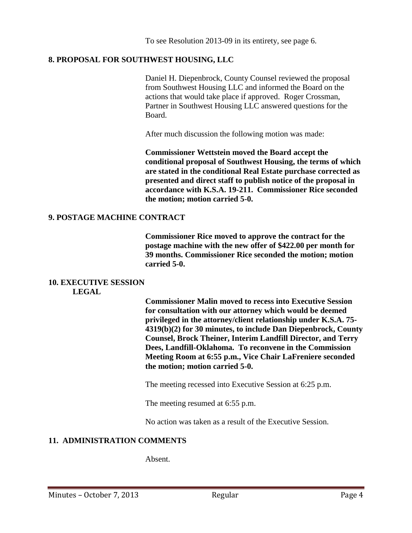To see Resolution 2013-09 in its entirety, see page 6.

# **8. PROPOSAL FOR SOUTHWEST HOUSING, LLC**

Daniel H. Diepenbrock, County Counsel reviewed the proposal from Southwest Housing LLC and informed the Board on the actions that would take place if approved. Roger Crossman, Partner in Southwest Housing LLC answered questions for the Board.

After much discussion the following motion was made:

**Commissioner Wettstein moved the Board accept the conditional proposal of Southwest Housing, the terms of which are stated in the conditional Real Estate purchase corrected as presented and direct staff to publish notice of the proposal in accordance with K.S.A. 19-211. Commissioner Rice seconded the motion; motion carried 5-0.**

## **9. POSTAGE MACHINE CONTRACT**

**Commissioner Rice moved to approve the contract for the postage machine with the new offer of \$422.00 per month for 39 months. Commissioner Rice seconded the motion; motion carried 5-0.**

## **10. EXECUTIVE SESSION**

**LEGAL**

**Commissioner Malin moved to recess into Executive Session for consultation with our attorney which would be deemed privileged in the attorney/client relationship under K.S.A. 75- 4319(b)(2) for 30 minutes, to include Dan Diepenbrock, County Counsel, Brock Theiner, Interim Landfill Director, and Terry Dees, Landfill-Oklahoma. To reconvene in the Commission Meeting Room at 6:55 p.m., Vice Chair LaFreniere seconded the motion; motion carried 5-0.**

The meeting recessed into Executive Session at 6:25 p.m.

The meeting resumed at 6:55 p.m.

No action was taken as a result of the Executive Session.

## **11. ADMINISTRATION COMMENTS**

Absent.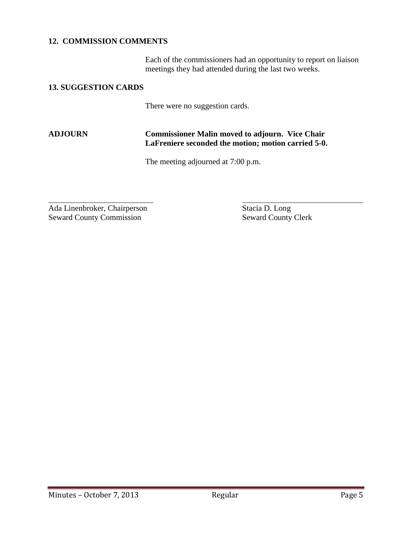## **12. COMMISSION COMMENTS**

Each of the commissioners had an opportunity to report on liaison meetings they had attended during the last two weeks.

#### **13. SUGGESTION CARDS**

There were no suggestion cards.

# **ADJOURN Commissioner Malin moved to adjourn. Vice Chair LaFreniere seconded the motion; motion carried 5-0.**

The meeting adjourned at 7:00 p.m.

Ada Linenbroker, Chairperson Stacia D. Long Seward County Commission Seward County Clerk

l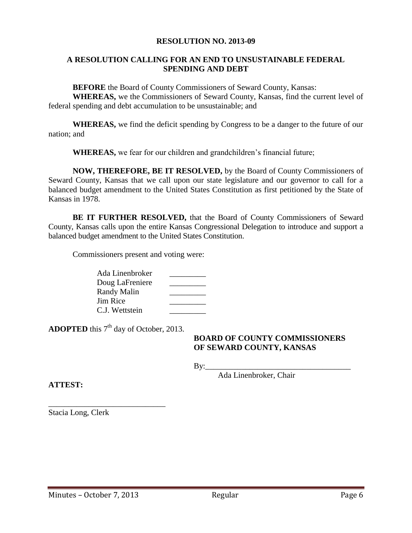#### **RESOLUTION NO. 2013-09**

#### **A RESOLUTION CALLING FOR AN END TO UNSUSTAINABLE FEDERAL SPENDING AND DEBT**

**BEFORE** the Board of County Commissioners of Seward County, Kansas:

**WHEREAS,** we the Commissioners of Seward County, Kansas, find the current level of federal spending and debt accumulation to be unsustainable; and

**WHEREAS,** we find the deficit spending by Congress to be a danger to the future of our nation; and

**WHEREAS,** we fear for our children and grandchildren's financial future;

**NOW, THEREFORE, BE IT RESOLVED,** by the Board of County Commissioners of Seward County, Kansas that we call upon our state legislature and our governor to call for a balanced budget amendment to the United States Constitution as first petitioned by the State of Kansas in 1978.

**BE IT FURTHER RESOLVED,** that the Board of County Commissioners of Seward County, Kansas calls upon the entire Kansas Congressional Delegation to introduce and support a balanced budget amendment to the United States Constitution.

Commissioners present and voting were:

Ada Linenbroker \_\_\_\_\_\_\_\_\_ Doug LaFreniere Randy Malin Jim Rice C.J. Wettstein \_\_\_\_\_\_\_\_\_

**ADOPTED** this 7<sup>th</sup> day of October, 2013.

\_\_\_\_\_\_\_\_\_\_\_\_\_\_\_\_\_\_\_\_\_\_\_\_\_\_\_\_\_

#### **BOARD OF COUNTY COMMISSIONERS OF SEWARD COUNTY, KANSAS**

 $\mathbf{By:}\_\_\_\$ 

Ada Linenbroker, Chair

**ATTEST:**

Stacia Long, Clerk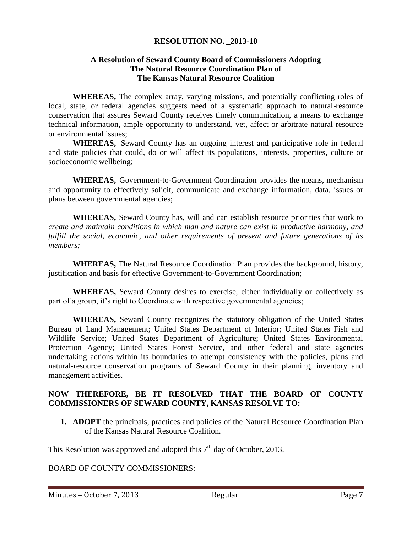### **RESOLUTION NO. \_2013-10**

#### **A Resolution of Seward County Board of Commissioners Adopting The Natural Resource Coordination Plan of The Kansas Natural Resource Coalition**

**WHEREAS,** The complex array, varying missions, and potentially conflicting roles of local, state, or federal agencies suggests need of a systematic approach to natural-resource conservation that assures Seward County receives timely communication, a means to exchange technical information, ample opportunity to understand, vet, affect or arbitrate natural resource or environmental issues;

**WHEREAS,** Seward County has an ongoing interest and participative role in federal and state policies that could, do or will affect its populations, interests, properties, culture or socioeconomic wellbeing;

**WHEREAS,** Government-to-Government Coordination provides the means, mechanism and opportunity to effectively solicit, communicate and exchange information, data, issues or plans between governmental agencies;

**WHEREAS,** Seward County has, will and can establish resource priorities that work to *create and maintain conditions in which man and nature can exist in productive harmony, and fulfill the social, economic, and other requirements of present and future generations of its members;*

**WHEREAS,** The Natural Resource Coordination Plan provides the background, history, justification and basis for effective Government-to-Government Coordination;

**WHEREAS,** Seward County desires to exercise, either individually or collectively as part of a group, it's right to Coordinate with respective governmental agencies;

**WHEREAS,** Seward County recognizes the statutory obligation of the United States Bureau of Land Management; United States Department of Interior; United States Fish and Wildlife Service; United States Department of Agriculture; United States Environmental Protection Agency; United States Forest Service, and other federal and state agencies undertaking actions within its boundaries to attempt consistency with the policies, plans and natural-resource conservation programs of Seward County in their planning, inventory and management activities.

## **NOW THEREFORE, BE IT RESOLVED THAT THE BOARD OF COUNTY COMMISSIONERS OF SEWARD COUNTY, KANSAS RESOLVE TO:**

**1. ADOPT** the principals, practices and policies of the Natural Resource Coordination Plan of the Kansas Natural Resource Coalition.

This Resolution was approved and adopted this  $7<sup>th</sup>$  day of October, 2013.

BOARD OF COUNTY COMMISSIONERS: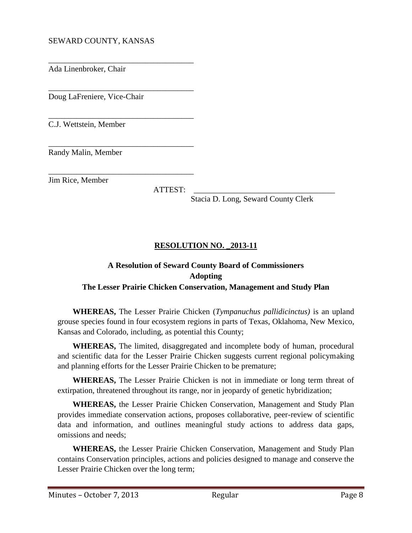## SEWARD COUNTY, KANSAS

\_\_\_\_\_\_\_\_\_\_\_\_\_\_\_\_\_\_\_\_\_\_\_\_\_\_\_\_\_\_\_\_\_\_\_\_

\_\_\_\_\_\_\_\_\_\_\_\_\_\_\_\_\_\_\_\_\_\_\_\_\_\_\_\_\_\_\_\_\_\_\_\_

\_\_\_\_\_\_\_\_\_\_\_\_\_\_\_\_\_\_\_\_\_\_\_\_\_\_\_\_\_\_\_\_\_\_\_\_

\_\_\_\_\_\_\_\_\_\_\_\_\_\_\_\_\_\_\_\_\_\_\_\_\_\_\_\_\_\_\_\_\_\_\_\_

Ada Linenbroker, Chair

Doug LaFreniere, Vice-Chair

C.J. Wettstein, Member

\_\_\_\_\_\_\_\_\_\_\_\_\_\_\_\_\_\_\_\_\_\_\_\_\_\_\_\_\_\_\_\_\_\_\_\_ Randy Malin, Member

Jim Rice, Member

ATTEST: \_\_\_\_\_\_\_\_\_\_\_\_\_\_\_\_\_\_\_\_\_\_\_\_\_\_\_\_\_\_\_\_\_\_\_

Stacia D. Long, Seward County Clerk

## **RESOLUTION NO. \_2013-11**

# **A Resolution of Seward County Board of Commissioners Adopting The Lesser Prairie Chicken Conservation, Management and Study Plan**

**WHEREAS,** The Lesser Prairie Chicken (*Tympanuchus pallidicinctus)* is an upland grouse species found in four ecosystem regions in parts of Texas, Oklahoma, New Mexico, Kansas and Colorado, including, as potential this County;

**WHEREAS,** The limited, disaggregated and incomplete body of human, procedural and scientific data for the Lesser Prairie Chicken suggests current regional policymaking and planning efforts for the Lesser Prairie Chicken to be premature;

**WHEREAS,** The Lesser Prairie Chicken is not in immediate or long term threat of extirpation, threatened throughout its range, nor in jeopardy of genetic hybridization;

**WHEREAS,** the Lesser Prairie Chicken Conservation, Management and Study Plan provides immediate conservation actions, proposes collaborative, peer-review of scientific data and information, and outlines meaningful study actions to address data gaps, omissions and needs;

**WHEREAS,** the Lesser Prairie Chicken Conservation, Management and Study Plan contains Conservation principles, actions and policies designed to manage and conserve the Lesser Prairie Chicken over the long term;